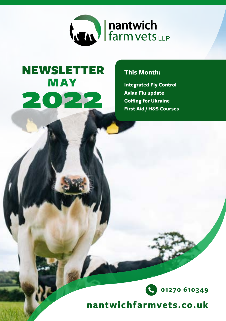

# MAY 2022 NEWSLETTER

### **This Month:**

**Integrated Fly Control Avian Flu update Golfing for Ukraine First Aid / H&S Courses**



nantwichfarmvets.co.uk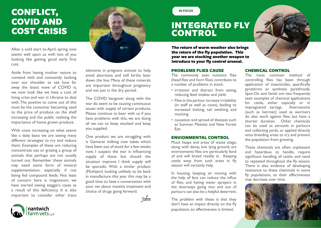# CONFLICT, COVID AND COST CRISIS

After a cold start to April, spring now seems well upon us with lots of you looking like getting good early first cuts.

Aside from having mother nature to contend with and constantly looking over our shoulder to see how far away the latest wave of COVID is, we now look like we have a cost of living crisis and war in Ukraine to deal with. The positive to come out of this must be the consumer becoming used to the price of produce on the shelf increasing and the public realising the importance of home grown produce.

With costs increasing on what seems like a daily basis we are seeing many different strategies to try and reduce them. Examples of these are reducing concentrate use or grazing a group of animals that perhaps are not usually turned out. Remember these animals may need some form of mineral supplementation, especially if not being fed compound feeds. Not least of concern here is magnesium; we have started seeing staggers cases as a result of this deficiency. It is also important to consider other trace



elements in pregnant animals to help avoid abortions and still births later down the line. Many of these minerals are important throughout pregnancy and not just in the dry period.

The COVID hangover along with the war do seem to be causing continuous issues with supply of certain products. Please continue to bear with us if you have problems with this, we are doing all we can to keep stocked and keep you supplied.

One product we are struggling with is Gamaret milking cow tubes which have been out of stock for a few weeks now, I suspect the war is influencing supply of these but should the situation improve I think supply will be sporadic. With a similar product (Multiject) looking unlikely to be back in manufacture this year this may be a good time to have a conversation with your vet about mastitis treatment and choice of drugs going forward.

John

### **IN FOCUS**

# INTEGRATED FLY **CONTROL**

The return of warm weather also brings the return of the fly population. This year we are stocking another weapon to introduce to your fly control arsenal.

#### PROBLEMS FLIES CAUSE

The commonly seen nuisance flies (head flies and horn flies) contribute to a number of problems in stock:

- irritation and distract from eating, reducing feed intakes and yield.
- Flies in the parlour increase irritability (in staff as well as cows), leading to increased kicking, tail swishing and mucking.
- causation and spread of diseases such as Summer Mastitis and New Forest Eye.

#### ENVIONMENTAL CONTROL

Muck heaps and areas of waste silage, along with damp, low lying ground, are environments flies are particularly fond of and will breed readily in. Keeping cattle away from such areas in fly season will certainly help.

In housing, keeping air moving with the help of fans can reduce the influx of flies, and having water sprayers in the doorways going into and out of parlours can also be a helpful deterrent.

The problem with these is that they don't have an impact directly on the fly population, so effectiveness is limited.



#### CHEMICAL CONTROL

The most common method of controlling flies has been through application of insecticides, specifically pyrethrins or synthetic pyrethroids. Spot-On and Swish are two frequently seen examples of chemical applications for cattle, either topically or in impregnated eartags. Avermectins (such as Ivermec) used as wormers do also work against flies, but have a shorter duration. Other chemicals can be used as aerosols in parlours and collecting yards, or applied directly onto breeding areas to try and prevent the population from growing.

These chemicals are often unpleasant and hazardous to handle, require significant handling of cattle, and need to repeated throughout the fly season. There is also evidence of developing resistance to these chemicals in some fly populations, so their effectiveness may decrease over time.



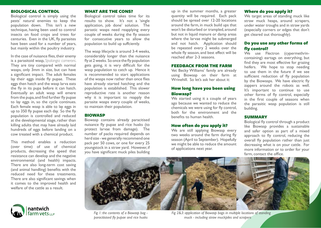#### BIOLOGICAL CONTROL

Biological control is simply using the pests' natural enemies to keep the population down. This isn't a new technique, having been used to control insects on food crops and trees for centuries. Even in the UK, fly parasites have been used for a number of years, but mainly within the poultry industry.

In the case of nuisance flies, their enemy is a parasitoid wasp, *Spalangia cameroni*. They are tiny compared with normal wasps, only 3mm in size, but can have a significant impact. The adult females lay their eggs inside fly pupae. These eggs then hatch and the wasp larva eats the fly in its pupa before it can hatch. Eventually an adult wasp will emere from the pupa, and find further fly pupae to lay eggs in, so the cycle continues. Each female wasp is able to lay eggs in up to 350 fly pupae each day. So the fly population is controlled and reduced at the developmental stage, rather than killing adults that may have already laid hundreds of eggs before landing on a cow treated with a chemical product.

This method enables a reduction (over time) of use of chemical products, decreasing the speed that resistance can develop and the negative environmental (and health) impacts. There are also long-term cost saving (and animal handling) benefits with the reduced need for these treatments. There are also significant savings when it comes to the improved health and welfare of the cattle as a result.



#### WHAT ARE THE CONS?

Biological control takes time for its results to show. It's not a 'single application, job done' solution. The parastic wasps need reapplying every couple of weeks during the fly season for consecutive years to allow the population to build up suffciently.

The wasp lifecycle is around 3-4 weeks, considerably longer than the nuisance fly at 2 weeks. So once the fly population gets going, it is very difficult for the wasp population to catch up. Hence it is recommended to start applications of the wasps now rather than once flies have already started hatching and the population is established. This slower reproductive rate is another reason why it is important to reapply the parasite wasps every couple of weeks, to maintain their population.

#### **BIOWASP**

Biowasp contains already paracitised nuisance fly pupae and rice husks (to protect larvae from damage). The number of packs required depends on herd size - we generally recommend one pack per 50 cows, or one for every 25 youngstock in a straw yard. However, if you have significant muck piles building up in the summer months, a greater quantity will be required. Each pack should be spread over 12-20 locations around the farm, in muck build ups that won't be disturbed or trampled, around but not in liquid manure or damp areas where the larvae might be submerged and not hatch. Application should be repeated every 2 weeks over the whole fly season, and best effect will be reached after 2-3 seasons.

#### FEEDBACK FROM THE FARM

Vet Becky Williams' family are already using Biowasp on their farm at Wrinehill. So let's ask her about it:

#### How long have you been using Biowasp?

We started using it a couple of years ago because we wanted to reduce the chemicals we were using for fly control, both for the environment and the benefits to human health.

#### How often do you apply it?

We are still applying Biowasp every two weeks around the farm during fly season (April to September). Hopefully we might be able to reduce the amount of applications next year.

#### Where do you apply it?

We target areas of standing muck like straw muck heaps, around scrapers, under water troughs and in straw yards (especially corners or edges that don't get cleared out thoroughly).

### Do you use any other forms of fly control?

We use Flectron (cypermethrincontaining) eartags on everything, but find they are most effective for grazing heifers. We hope to stop needing to use them in the future if we see sufficient reduction of fly population by the Biowasps. We have electric fly zappers around the robots as well. It's important to continue to use other forms of fly control, especially in the first couple of seasons when the parasitic wasp population is still building.

#### **SUMMARY**

Biological fly control through a product like Biowasp provides a sustainable and safer option as part of a mixed approach to fly control, reducing the overall fly population rather than just decreasing what is on your cattle. For more information or to order for your farm, contact the office.



*Fig 1: the contents of a Biowasp bag paracitisised fly pupae and rice husks*

*Fig 2&3: application of Biowasp bags in multiple locations of standing muck - including straw muckpiles and scrapers*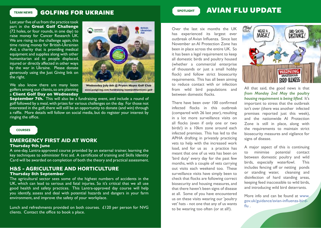## **TEAM NEWS** GOLFING FOR UKRAINE

Last year five of us from the practice took part in the **Great Golf Challenge**  (72 holes, or four rounds, in one day) to raise money for Cancer Research UK. We are rising to the challenge again, this time raising money for British-Ukrainian Aid, a charity that is providing medical equipment and supplies along with other humanitarian aid to people displaced, injured or directly affected in other ways by the war in Ukraine. Please donate generously using the Just Giving link on the right.



We also know there are many keen golfers among our clients, so are planning a **Client Golf Day on Wednesday** 

Wednesday July 6th @ Pryors Hayes Golf Club www.justgiving.com/fundraising/nantwichfarmvets-golf

**September 7th.** This will also be a fundraising event, and include a round of golf followed by a meal, with prizes for various challenges on the day. For those not interested in the golf, there will still be an opportunity to donate (and win) through a raffle. More details will follow on social media, but do register your interest by ringing the office.

#### **COURSES**

#### **EMERGENCY FIRST AID AT WORK Thursday 9th June**

A one-day, Lantra-approved course provided by an external trainer, learning the key techniques to administer first aid. A certificate of training and Skills Identity Card will be awarded on completion of both the theory and practical assessment.

# **H&S - AGRICULTURE AND HORTICULTURE**

#### **Thursday 8th September**

The agricultural sector sees some of the highest numbers of accidents in the UK, which can lead to serious and fatal injuries. So it's critical that we all use good health and safety practices. This Lantra-approved day course will help you identify, assess and deal with potential hazards and dangers in your farm environment, and improve the safety of your workplace.

Lunch and refreshments provided on both courses. £120 per person for NVG clients. Contact the office to book a place.

# SPOTLIGHT **AVIAN FLU UPDATE**

Over the last six months the UK has experienced its largest ever outbreak of Avian Influenza. Since last November an AI Protection Zone has been in place across the entire UK. So it has been a legal requirement to keep all domestic birds and poultry housed (whether a commercial enterprise of thousands or just a small hobby flock) and follow strict biosecurity requirements. This has all been aiming to reduce contact with or infection from wild bird populations and between domestic flocks.

There have been over 100 confirmed infected flocks in this outbreak (compared with 26 last year), resulting in a lot more surveillance visits on all flocks (even if only one or two birds!) in a 10km zone around each infected premises. This has led to the APHA drafting in privately practicing vets to help with the increased work load, and for us as a practice has meant that one of us vets has been on 'bird duty' every day for the past few months, with a couple of vets carrying out visits each weekend too. These surveillance visits have simply been to check that flocks are following correct biosecurity and housing measures, and that there haven't been signs of disease at all. Some of you have encountered us on these visits wearing our 'poultry vet' hats - not one that any of us wants to be wearing too often (or at all!).



All that said, the good news is that *from Monday 2nd May the poultry housing requirement is being lifted*. It's important to stress that the outbreak isn't over (there was another infected premises reported just this week), and the nationwide AI Protection Zone is still in place, along with the requirements to maintain strict biosecurity measures and vigilance for signs of disease.

A major aspect of this is continuing to minimise potential contact between domestic poultry and wild birds, especially waterfowl. This includes fencing off or netting ponds or standing water, cleansing and disinfection of hard standing areas, keeping feed inaccessible to wild birds, and introducing wild bird deterrants.

More info and can be found at www. gov.uk/guidance/avian-influenza-birdflu .